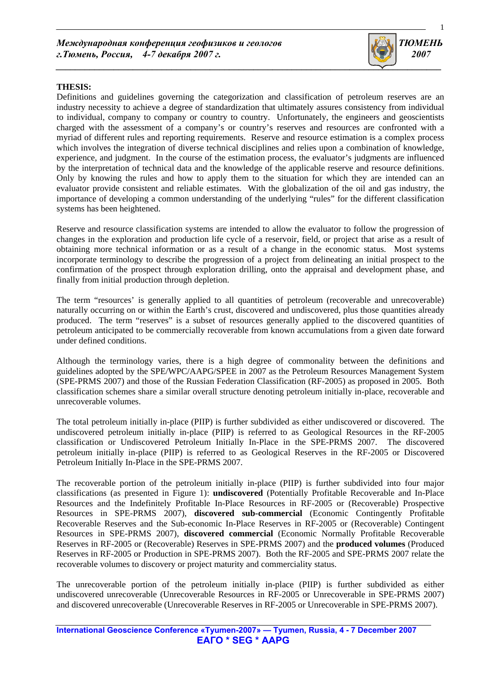

## **THESIS:**

Definitions and guidelines governing the categorization and classification of petroleum reserves are an industry necessity to achieve a degree of standardization that ultimately assures consistency from individual to individual, company to company or country to country. Unfortunately, the engineers and geoscientists charged with the assessment of a company's or country's reserves and resources are confronted with a myriad of different rules and reporting requirements. Reserve and resource estimation is a complex process which involves the integration of diverse technical disciplines and relies upon a combination of knowledge, experience, and judgment. In the course of the estimation process, the evaluator's judgments are influenced by the interpretation of technical data and the knowledge of the applicable reserve and resource definitions. Only by knowing the rules and how to apply them to the situation for which they are intended can an evaluator provide consistent and reliable estimates. With the globalization of the oil and gas industry, the importance of developing a common understanding of the underlying "rules" for the different classification systems has been heightened.

Reserve and resource classification systems are intended to allow the evaluator to follow the progression of changes in the exploration and production life cycle of a reservoir, field, or project that arise as a result of obtaining more technical information or as a result of a change in the economic status. Most systems incorporate terminology to describe the progression of a project from delineating an initial prospect to the confirmation of the prospect through exploration drilling, onto the appraisal and development phase, and finally from initial production through depletion.

The term "resources' is generally applied to all quantities of petroleum (recoverable and unrecoverable) naturally occurring on or within the Earth's crust, discovered and undiscovered, plus those quantities already produced. The term "reserves" is a subset of resources generally applied to the discovered quantities of petroleum anticipated to be commercially recoverable from known accumulations from a given date forward under defined conditions.

Although the terminology varies, there is a high degree of commonality between the definitions and guidelines adopted by the SPE/WPC/AAPG/SPEE in 2007 as the Petroleum Resources Management System (SPE-PRMS 2007) and those of the Russian Federation Classification (RF-2005) as proposed in 2005. Both classification schemes share a similar overall structure denoting petroleum initially in-place, recoverable and unrecoverable volumes.

The total petroleum initially in-place (PIIP) is further subdivided as either undiscovered or discovered. The undiscovered petroleum initially in-place (PIIP) is referred to as Geological Resources in the RF-2005 classification or Undiscovered Petroleum Initially In-Place in the SPE-PRMS 2007. The discovered petroleum initially in-place (PIIP) is referred to as Geological Reserves in the RF-2005 or Discovered Petroleum Initially In-Place in the SPE-PRMS 2007.

The recoverable portion of the petroleum initially in-place (PIIP) is further subdivided into four major classifications (as presented in Figure 1): **undiscovered** (Potentially Profitable Recoverable and In-Place Resources and the Indefinitely Profitable In-Place Resources in RF-2005 or (Recoverable) Prospective Resources in SPE-PRMS 2007), **discovered sub-commercial** (Economic Contingently Profitable Recoverable Reserves and the Sub-economic In-Place Reserves in RF-2005 or (Recoverable) Contingent Resources in SPE-PRMS 2007), **discovered commercial** (Economic Normally Profitable Recoverable Reserves in RF-2005 or (Recoverable) Reserves in SPE-PRMS 2007) and the **produced volumes** (Produced Reserves in RF-2005 or Production in SPE-PRMS 2007). Both the RF-2005 and SPE-PRMS 2007 relate the recoverable volumes to discovery or project maturity and commerciality status.

The unrecoverable portion of the petroleum initially in-place (PIIP) is further subdivided as either undiscovered unrecoverable (Unrecoverable Resources in RF-2005 or Unrecoverable in SPE-PRMS 2007) and discovered unrecoverable (Unrecoverable Reserves in RF-2005 or Unrecoverable in SPE-PRMS 2007).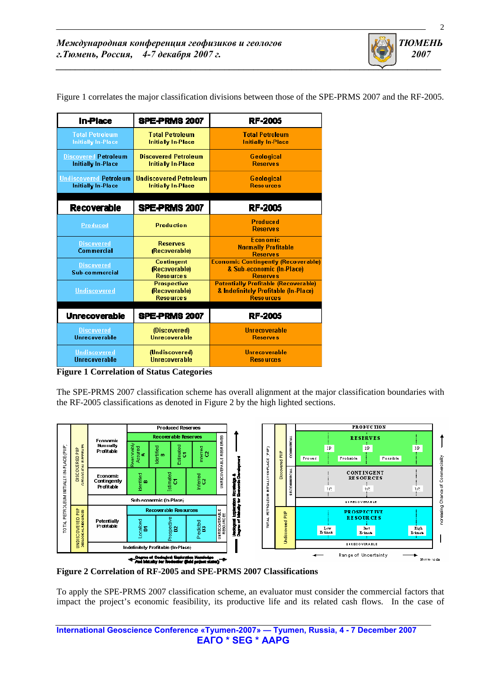| <b>In-Place</b>                                     | SPE-PRMS 2007                                              | <b>RF-2005</b>                                                                                          |
|-----------------------------------------------------|------------------------------------------------------------|---------------------------------------------------------------------------------------------------------|
| <b>Total Petroleum</b><br><b>Initially In-Place</b> | <b>Total Petroleum</b><br><b>Initially In-Place</b>        | <b>Total Petroleum</b><br><b>Initially In-Place</b>                                                     |
| <b>Discovered Petroleum</b><br>Initially In-Place   | <b>Discovered Petroleum</b><br><b>Initially In-Place</b>   | <b>Geological</b><br><b>Reserves</b>                                                                    |
| <b>Undiscovered Petroleum</b><br>Initially In-Place | <b>Undiscovered Petroleum</b><br><b>Initially In-Place</b> | Geological<br><b>Resources</b>                                                                          |
| <b>Recoverable</b>                                  | SPE-PRMS 2007                                              | <b>RF-2005</b>                                                                                          |
| Produced                                            | <b>Production</b>                                          | <b>Produced</b><br><b>Reserves</b>                                                                      |
| <b>Discovered</b><br>Commercial                     | <b>Reserves</b><br>(Recoverable)                           | <b>Economic</b><br><b>Normally Profitable</b><br><b>Reserves</b>                                        |
| <b>Discovered</b><br>Sub-commercial                 | <b>Contingent</b><br>(Recoverable)<br><b>Resources</b>     | <b>Economic Contingently (Recoverable)</b><br>& Sub-economic (In-Place)<br><b>Reserves</b>              |
| <b>Undiscovered</b>                                 | <b>Prospective</b><br>(Recoverable)<br><b>Resources</b>    | <b>Potentially Profitable (Recoverable)</b><br>& Indefinitely Profitable (In-Place)<br><b>Resources</b> |
| <b>Unrecoverable</b>                                | SPE-PRMS 2007                                              | <b>RF-2005</b>                                                                                          |
| <b>Discovered</b><br>Unrecoverable                  | (Discovered)<br>Unrecoverable                              | <b>Ilnrecoverable</b><br><b>Reserves</b>                                                                |
| <b>Undiscovered</b><br><b>Ilnrecoverable</b>        | (Undiscovered)<br><b>Horecoverable</b>                     | Unrecoverable<br><b>Resources</b>                                                                       |

Figure 1 correlates the major classification divisions between those of the SPE-PRMS 2007 and the RF-2005.

*\_\_\_\_\_\_\_\_\_\_\_\_\_\_\_\_\_\_\_\_\_\_\_\_\_\_\_\_\_\_\_\_\_\_\_\_\_\_\_\_\_\_\_\_\_\_\_\_\_\_\_\_\_\_\_\_\_\_\_\_\_\_\_\_\_\_\_\_\_\_\_\_\_\_\_\_\_\_\_\_* 

*\_\_\_\_\_\_\_\_\_\_\_\_\_\_\_\_\_\_\_\_\_\_\_\_\_\_\_\_\_\_\_\_\_\_\_\_\_\_\_\_\_\_\_\_\_\_\_\_\_\_\_\_\_\_\_\_\_\_\_\_\_\_\_\_\_\_\_\_\_\_\_\_\_\_\_\_\_\_\_\_\_\_\_\_\_\_\_\_\_\_\_\_\_\_\_\_\_\_\_\_\_\_\_\_\_\_\_\_\_\_\_\_\_\_\_*

**Figure 1 Correlation of Status Categories** 

The SPE-PRMS 2007 classification scheme has overall alignment at the major classification boundaries with the RF-2005 classifications as denoted in Figure 2 by the high lighted sections.



**Figure 2 Correlation of RF-2005 and SPE-PRMS 2007 Classifications** 

To apply the SPE-PRMS 2007 classification scheme, an evaluator must consider the commercial factors that impact the project's economic feasibility, its productive life and its related cash flows. In the case of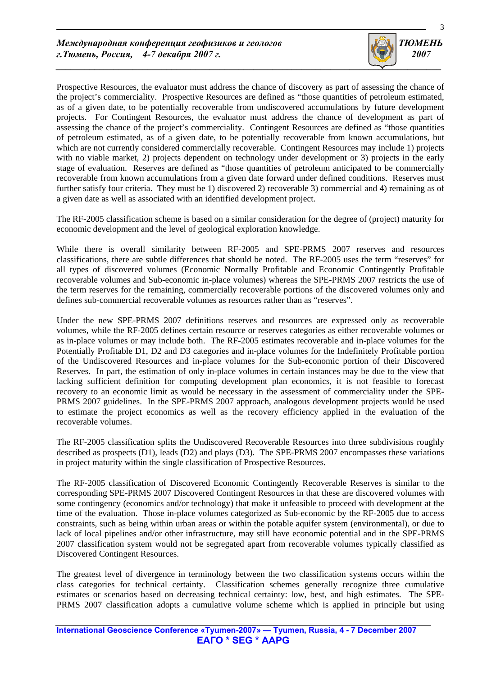

Prospective Resources, the evaluator must address the chance of discovery as part of assessing the chance of the project's commerciality. Prospective Resources are defined as "those quantities of petroleum estimated, as of a given date, to be potentially recoverable from undiscovered accumulations by future development projects. For Contingent Resources, the evaluator must address the chance of development as part of assessing the chance of the project's commerciality. Contingent Resources are defined as "those quantities of petroleum estimated, as of a given date, to be potentially recoverable from known accumulations, but which are not currently considered commercially recoverable. Contingent Resources may include 1) projects with no viable market, 2) projects dependent on technology under development or 3) projects in the early stage of evaluation. Reserves are defined as "those quantities of petroleum anticipated to be commercially recoverable from known accumulations from a given date forward under defined conditions. Reserves must further satisfy four criteria. They must be 1) discovered 2) recoverable 3) commercial and 4) remaining as of a given date as well as associated with an identified development project.

The RF-2005 classification scheme is based on a similar consideration for the degree of (project) maturity for economic development and the level of geological exploration knowledge.

While there is overall similarity between RF-2005 and SPE-PRMS 2007 reserves and resources classifications, there are subtle differences that should be noted. The RF-2005 uses the term "reserves" for all types of discovered volumes (Economic Normally Profitable and Economic Contingently Profitable recoverable volumes and Sub-economic in-place volumes) whereas the SPE-PRMS 2007 restricts the use of the term reserves for the remaining, commercially recoverable portions of the discovered volumes only and defines sub-commercial recoverable volumes as resources rather than as "reserves".

Under the new SPE-PRMS 2007 definitions reserves and resources are expressed only as recoverable volumes, while the RF-2005 defines certain resource or reserves categories as either recoverable volumes or as in-place volumes or may include both. The RF-2005 estimates recoverable and in-place volumes for the Potentially Profitable D1, D2 and D3 categories and in-place volumes for the Indefinitely Profitable portion of the Undiscovered Resources and in-place volumes for the Sub-economic portion of their Discovered Reserves. In part, the estimation of only in-place volumes in certain instances may be due to the view that lacking sufficient definition for computing development plan economics, it is not feasible to forecast recovery to an economic limit as would be necessary in the assessment of commerciality under the SPE-PRMS 2007 guidelines. In the SPE-PRMS 2007 approach, analogous development projects would be used to estimate the project economics as well as the recovery efficiency applied in the evaluation of the recoverable volumes.

The RF-2005 classification splits the Undiscovered Recoverable Resources into three subdivisions roughly described as prospects (D1), leads (D2) and plays (D3). The SPE-PRMS 2007 encompasses these variations in project maturity within the single classification of Prospective Resources.

The RF-2005 classification of Discovered Economic Contingently Recoverable Reserves is similar to the corresponding SPE-PRMS 2007 Discovered Contingent Resources in that these are discovered volumes with some contingency (economics and/or technology) that make it unfeasible to proceed with development at the time of the evaluation. Those in-place volumes categorized as Sub-economic by the RF-2005 due to access constraints, such as being within urban areas or within the potable aquifer system (environmental), or due to lack of local pipelines and/or other infrastructure, may still have economic potential and in the SPE-PRMS 2007 classification system would not be segregated apart from recoverable volumes typically classified as Discovered Contingent Resources.

The greatest level of divergence in terminology between the two classification systems occurs within the class categories for technical certainty. Classification schemes generally recognize three cumulative estimates or scenarios based on decreasing technical certainty: low, best, and high estimates. The SPE-PRMS 2007 classification adopts a cumulative volume scheme which is applied in principle but using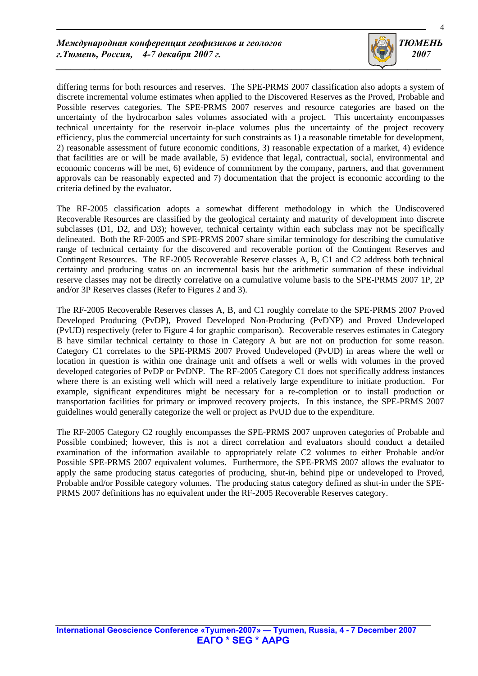

differing terms for both resources and reserves. The SPE-PRMS 2007 classification also adopts a system of discrete incremental volume estimates when applied to the Discovered Reserves as the Proved, Probable and Possible reserves categories. The SPE-PRMS 2007 reserves and resource categories are based on the uncertainty of the hydrocarbon sales volumes associated with a project. This uncertainty encompasses technical uncertainty for the reservoir in-place volumes plus the uncertainty of the project recovery efficiency, plus the commercial uncertainty for such constraints as 1) a reasonable timetable for development, 2) reasonable assessment of future economic conditions, 3) reasonable expectation of a market, 4) evidence that facilities are or will be made available, 5) evidence that legal, contractual, social, environmental and economic concerns will be met, 6) evidence of commitment by the company, partners, and that government approvals can be reasonably expected and 7) documentation that the project is economic according to the criteria defined by the evaluator.

The RF-2005 classification adopts a somewhat different methodology in which the Undiscovered Recoverable Resources are classified by the geological certainty and maturity of development into discrete subclasses (D1, D2, and D3); however, technical certainty within each subclass may not be specifically delineated. Both the RF-2005 and SPE-PRMS 2007 share similar terminology for describing the cumulative range of technical certainty for the discovered and recoverable portion of the Contingent Reserves and Contingent Resources. The RF-2005 Recoverable Reserve classes A, B, C1 and C2 address both technical certainty and producing status on an incremental basis but the arithmetic summation of these individual reserve classes may not be directly correlative on a cumulative volume basis to the SPE-PRMS 2007 1P, 2P and/or 3P Reserves classes (Refer to Figures 2 and 3).

The RF-2005 Recoverable Reserves classes A, B, and C1 roughly correlate to the SPE-PRMS 2007 Proved Developed Producing (PvDP), Proved Developed Non-Producing (PvDNP) and Proved Undeveloped (PvUD) respectively (refer to Figure 4 for graphic comparison). Recoverable reserves estimates in Category B have similar technical certainty to those in Category A but are not on production for some reason. Category C1 correlates to the SPE-PRMS 2007 Proved Undeveloped (PvUD) in areas where the well or location in question is within one drainage unit and offsets a well or wells with volumes in the proved developed categories of PvDP or PvDNP. The RF-2005 Category C1 does not specifically address instances where there is an existing well which will need a relatively large expenditure to initiate production. For example, significant expenditures might be necessary for a re-completion or to install production or transportation facilities for primary or improved recovery projects. In this instance, the SPE-PRMS 2007 guidelines would generally categorize the well or project as PvUD due to the expenditure.

The RF-2005 Category C2 roughly encompasses the SPE-PRMS 2007 unproven categories of Probable and Possible combined; however, this is not a direct correlation and evaluators should conduct a detailed examination of the information available to appropriately relate C2 volumes to either Probable and/or Possible SPE-PRMS 2007 equivalent volumes. Furthermore, the SPE-PRMS 2007 allows the evaluator to apply the same producing status categories of producing, shut-in, behind pipe or undeveloped to Proved, Probable and/or Possible category volumes. The producing status category defined as shut-in under the SPE-PRMS 2007 definitions has no equivalent under the RF-2005 Recoverable Reserves category.